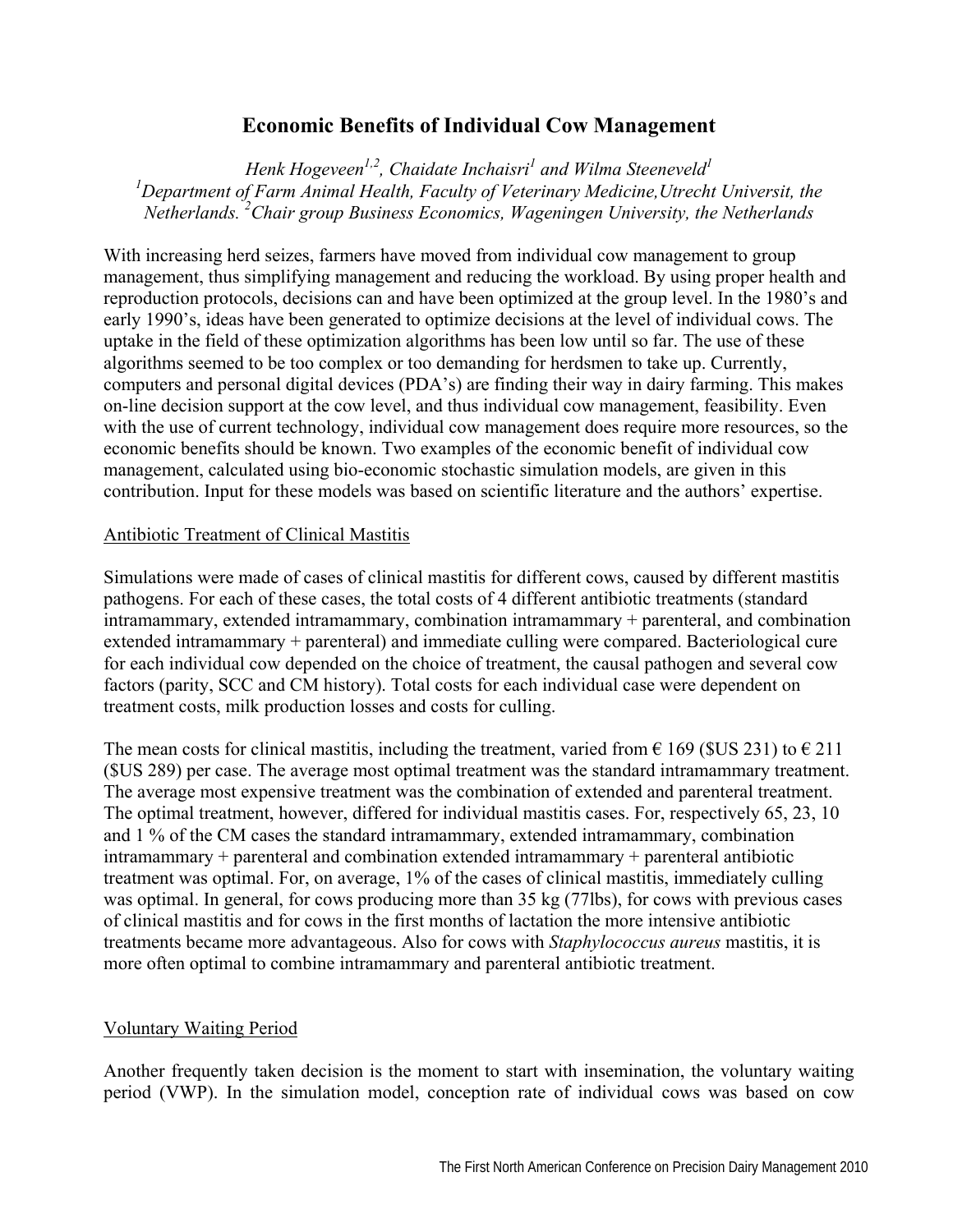# **Economic Benefits of Individual Cow Management**

Henk Hogeveen<sup>1,2</sup>, Chaidate Inchaisri<sup>1</sup> and Wilma Steeneveld<sup>1</sup> <sup>1</sup>Department of Farm Animal Health, Faculty of Veterinary Medicine, Utrecht Universit, the *Netherlands. 2 Chair group Business Economics, Wageningen University, the Netherlands* 

With increasing herd seizes, farmers have moved from individual cow management to group management, thus simplifying management and reducing the workload. By using proper health and reproduction protocols, decisions can and have been optimized at the group level. In the 1980's and early 1990's, ideas have been generated to optimize decisions at the level of individual cows. The uptake in the field of these optimization algorithms has been low until so far. The use of these algorithms seemed to be too complex or too demanding for herdsmen to take up. Currently, computers and personal digital devices (PDA's) are finding their way in dairy farming. This makes on-line decision support at the cow level, and thus individual cow management, feasibility. Even with the use of current technology, individual cow management does require more resources, so the economic benefits should be known. Two examples of the economic benefit of individual cow management, calculated using bio-economic stochastic simulation models, are given in this contribution. Input for these models was based on scientific literature and the authors' expertise.

## Antibiotic Treatment of Clinical Mastitis

Simulations were made of cases of clinical mastitis for different cows, caused by different mastitis pathogens. For each of these cases, the total costs of 4 different antibiotic treatments (standard intramammary, extended intramammary, combination intramammary + parenteral, and combination extended intramammary + parenteral) and immediate culling were compared. Bacteriological cure for each individual cow depended on the choice of treatment, the causal pathogen and several cow factors (parity, SCC and CM history). Total costs for each individual case were dependent on treatment costs, milk production losses and costs for culling.

The mean costs for clinical mastitis, including the treatment, varied from  $\epsilon$  169 (\$US 231) to  $\epsilon$  211 (\$US 289) per case. The average most optimal treatment was the standard intramammary treatment. The average most expensive treatment was the combination of extended and parenteral treatment. The optimal treatment, however, differed for individual mastitis cases. For, respectively 65, 23, 10 and 1 % of the CM cases the standard intramammary, extended intramammary, combination intramammary + parenteral and combination extended intramammary + parenteral antibiotic treatment was optimal. For, on average, 1% of the cases of clinical mastitis, immediately culling was optimal. In general, for cows producing more than 35 kg (77lbs), for cows with previous cases of clinical mastitis and for cows in the first months of lactation the more intensive antibiotic treatments became more advantageous. Also for cows with *Staphylococcus aureus* mastitis, it is more often optimal to combine intramammary and parenteral antibiotic treatment.

## Voluntary Waiting Period

Another frequently taken decision is the moment to start with insemination, the voluntary waiting period (VWP). In the simulation model, conception rate of individual cows was based on cow